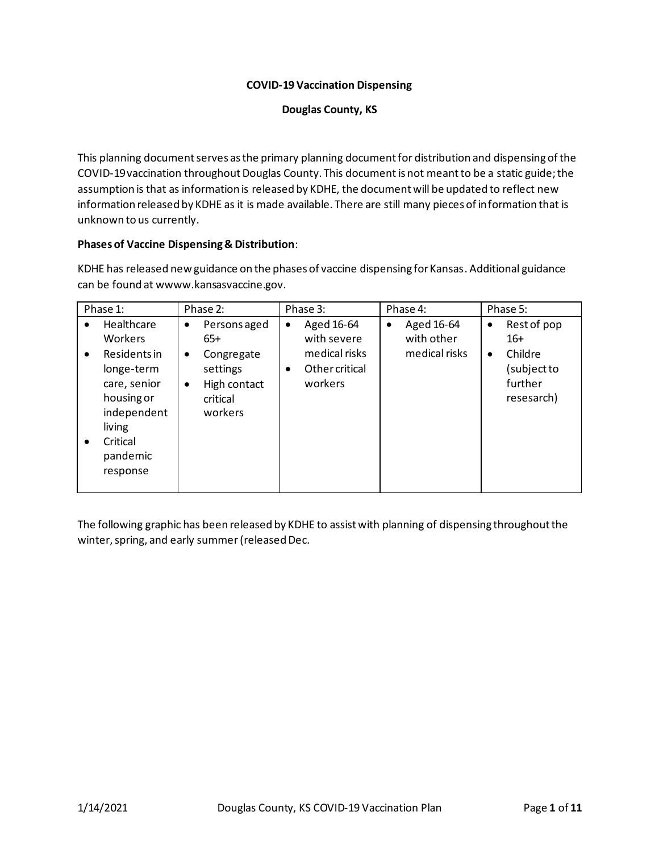# **COVID-19 Vaccination Dispensing**

#### **Douglas County, KS**

This planning document serves as the primary planning document for distribution and dispensing of the COVID-19 vaccination throughout Douglas County. This document is not meant to be a static guide; the assumption is that as information is released by KDHE, the document will be updated to reflect new information released by KDHE as it is made available. There are still many pieces of information that is unknown to us currently.

# **Phases of Vaccine Dispensing & Distribution**:

KDHE has released new guidance on the phases of vaccine dispensing for Kansas. Additional guidance can be found at wwww.kansasvaccine.gov.

| Phase 1:                                                                                                                                                                         | Phase 2:                                                                                                      | Phase 3:                                                                                  | Phase 4:                                               | Phase 5:                                                                                          |
|----------------------------------------------------------------------------------------------------------------------------------------------------------------------------------|---------------------------------------------------------------------------------------------------------------|-------------------------------------------------------------------------------------------|--------------------------------------------------------|---------------------------------------------------------------------------------------------------|
| Healthcare<br>$\bullet$<br><b>Workers</b><br>Residents in<br>$\bullet$<br>longe-term<br>care, senior<br>housing or<br>independent<br>living<br>Critical<br>$\bullet$<br>pandemic | Persons aged<br>٠<br>$65+$<br>Congregate<br>٠<br>settings<br>High contact<br>$\bullet$<br>critical<br>workers | Aged 16-64<br>٠<br>with severe<br>medical risks<br>Other critical<br>$\bullet$<br>workers | Aged 16-64<br>$\bullet$<br>with other<br>medical risks | Rest of pop<br>$\bullet$<br>$16+$<br>Childre<br>$\bullet$<br>(subject to<br>further<br>resesarch) |
| response                                                                                                                                                                         |                                                                                                               |                                                                                           |                                                        |                                                                                                   |

The following graphic has been released by KDHE to assist with planning of dispensing throughout the winter, spring, and early summer(released Dec.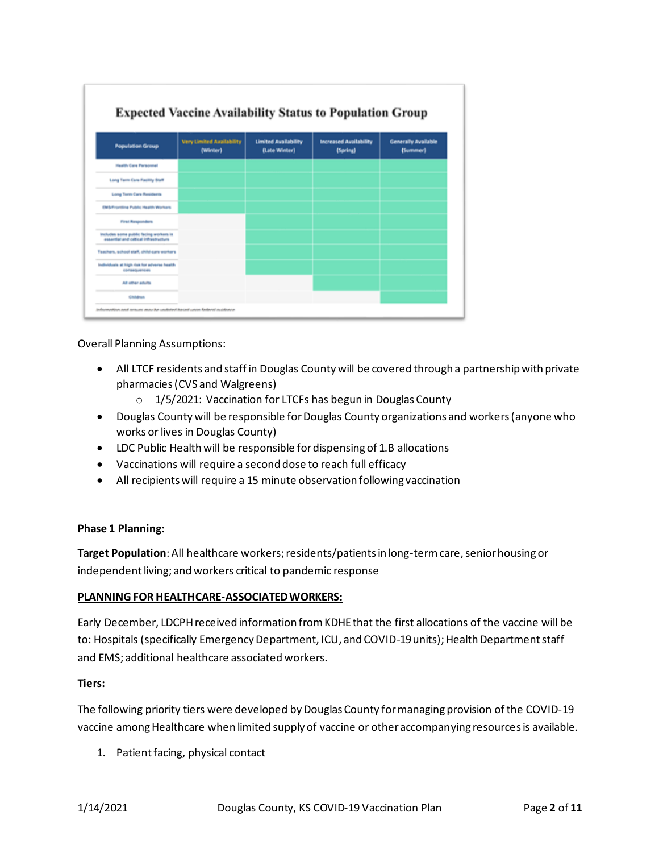| <b>Very Limited Availability</b>            | <b>Limited Availability</b> | <b>Increased Availability</b> | <b>Generally Available</b> |
|---------------------------------------------|-----------------------------|-------------------------------|----------------------------|
|                                             |                             |                               | (Summer)                   |
|                                             |                             |                               |                            |
|                                             |                             |                               |                            |
|                                             |                             |                               |                            |
|                                             |                             |                               |                            |
|                                             |                             |                               |                            |
|                                             |                             |                               |                            |
| Teachers, school staff, child-cars workers  |                             |                               |                            |
| Individuals at high risk for adverse health |                             |                               |                            |
|                                             |                             |                               |                            |
|                                             | (Winter)                    | (Late Winter)                 | (Spring)                   |

Overall Planning Assumptions:

- All LTCF residents and staff in Douglas County will be covered through a partnership with private pharmacies (CVS and Walgreens)
	- o 1/5/2021: Vaccination for LTCFs has begun in Douglas County
- Douglas County will be responsible for Douglas County organizations and workers (anyone who works or lives in Douglas County)
- LDC Public Health will be responsible for dispensing of 1.B allocations
- Vaccinations will require a second dose to reach full efficacy
- All recipients will require a 15 minute observation following vaccination

#### **Phase 1 Planning:**

**Target Population**:All healthcare workers; residents/patients in long-term care, senior housing or independent living; and workers critical to pandemic response

#### **PLANNING FOR HEALTHCARE-ASSOCIATED WORKERS:**

Early December, LDCPH received information from KDHE that the first allocations of the vaccine will be to: Hospitals (specifically Emergency Department, ICU, and COVID-19 units); Health Department staff and EMS; additional healthcare associated workers.

#### **Tiers:**

The following priority tiers were developed by Douglas County for managing provision of the COVID-19 vaccine among Healthcare when limited supply of vaccine or other accompanying resources is available.

1. Patient facing, physical contact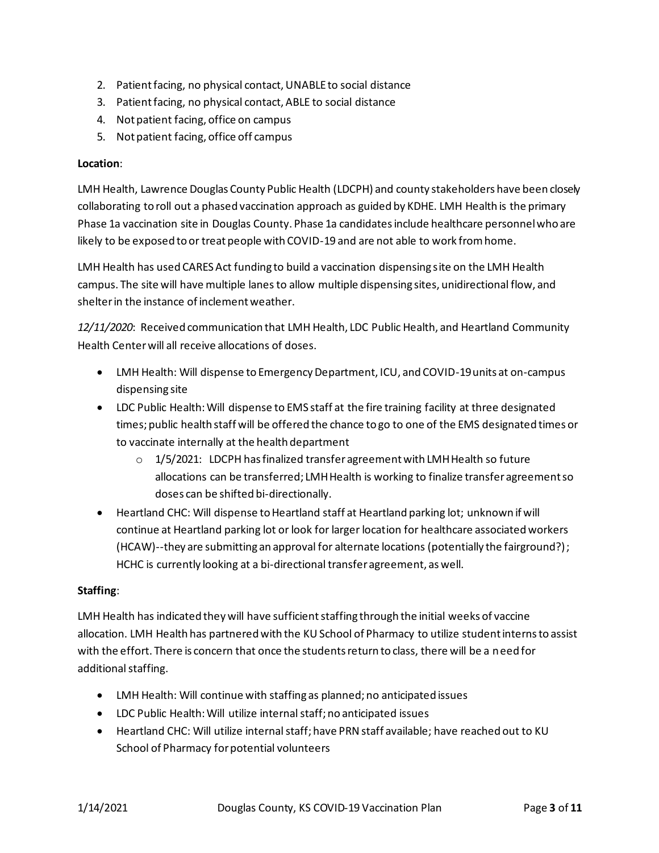- 2. Patient facing, no physical contact, UNABLE to social distance
- 3. Patient facing, no physical contact, ABLE to social distance
- 4. Not patient facing, office on campus
- 5. Not patient facing, office off campus

### **Location**:

LMH Health, Lawrence Douglas County Public Health (LDCPH) and county stakeholders have been closely collaborating to roll out a phased vaccination approach as guided by KDHE. LMH Health is the primary Phase 1a vaccination site in Douglas County. Phase 1a candidates include healthcare personnel who are likely to be exposed to or treat people with COVID-19 and are not able to work from home.

LMH Health has used CARES Act funding to build a vaccination dispensing site on the LMH Health campus. The site will have multiple lanes to allow multiple dispensing sites, unidirectional flow, and shelter in the instance of inclement weather.

*12/11/2020*: Received communication that LMH Health, LDC Public Health, and Heartland Community Health Center will all receive allocations of doses.

- LMH Health: Will dispense to Emergency Department, ICU, and COVID-19 units at on-campus dispensing site
- LDC Public Health: Will dispense to EMS staff at the fire training facility at three designated times; public health staff will be offered the chance to go to one of the EMS designated times or to vaccinate internally at the health department
	- $\circ$  1/5/2021: LDCPH has finalized transfer agreement with LMH Health so future allocations can be transferred; LMH Health is working to finalize transfer agreement so doses can be shifted bi-directionally.
- Heartland CHC: Will dispense to Heartland staff at Heartland parking lot; unknown if will continue at Heartland parking lot or look for larger location for healthcare associated workers (HCAW)--they are submitting an approval for alternate locations (potentially the fairground?); HCHC is currently looking at a bi-directional transfer agreement, as well.

# **Staffing**:

LMH Health has indicated they will have sufficient staffing through the initial weeks of vaccine allocation. LMH Health has partnered with the KU School of Pharmacy to utilize student interns to assist with the effort. There is concern that once the students return to class, there will be a need for additional staffing.

- LMH Health: Will continue with staffing as planned; no anticipated issues
- LDC Public Health: Will utilize internal staff; no anticipated issues
- Heartland CHC: Will utilize internal staff; have PRN staff available; have reached out to KU School of Pharmacy for potential volunteers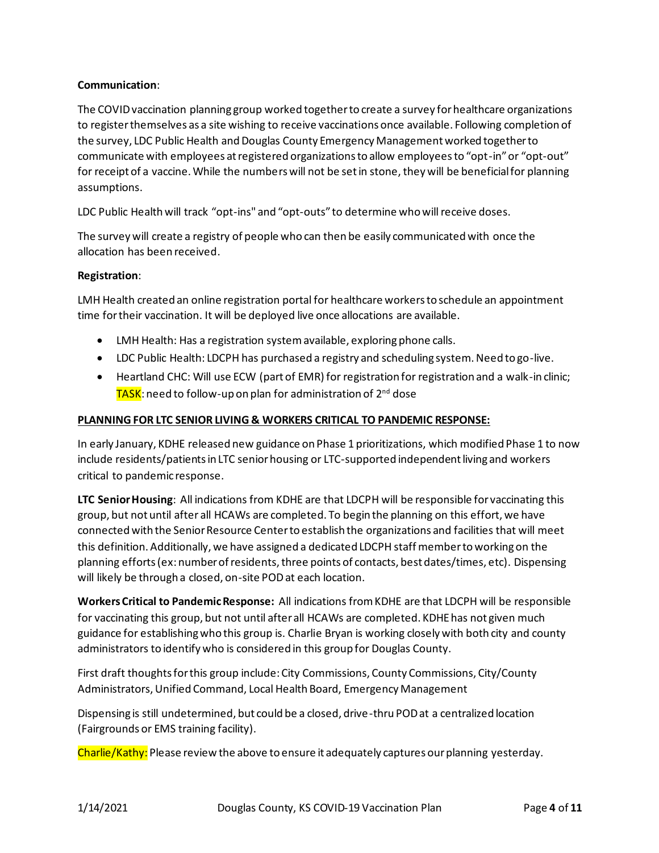# **Communication**:

The COVID vaccination planning group worked together to create a survey for healthcare organizations to register themselves as a site wishing to receive vaccinations once available. Following completion of the survey, LDC Public Health and Douglas County Emergency Management worked together to communicate with employees at registered organizations to allow employees to "opt-in" or "opt-out" for receipt of a vaccine. While the numbers will not be set in stone, they will be beneficial for planning assumptions.

LDC Public Health will track "opt-ins" and "opt-outs" to determine who will receive doses.

The survey will create a registry of people who can then be easily communicated with once the allocation has been received.

# **Registration**:

LMH Health created an online registration portal for healthcare workers to schedule an appointment time for their vaccination. It will be deployed live once allocations are available.

- LMH Health: Has a registration system available, exploring phone calls.
- LDC Public Health: LDCPH has purchased a registry and scheduling system. Need to go-live.
- Heartland CHC: Will use ECW (part of EMR) for registration for registration and a walk-in clinic; TASK: need to follow-up on plan for administration of 2<sup>nd</sup> dose

# **PLANNING FOR LTC SENIOR LIVING & WORKERS CRITICAL TO PANDEMIC RESPONSE:**

In early January, KDHE released new guidance on Phase 1 prioritizations, which modified Phase 1 to now include residents/patientsin LTC senior housing or LTC-supported independent living and workers critical to pandemic response.

**LTC Senior Housing**: All indications from KDHE are that LDCPH will be responsible for vaccinating this group, but not until after all HCAWs are completed. To begin the planning on this effort, we have connected with the Senior Resource Center to establish the organizations and facilities that will meet this definition. Additionally, we have assigned a dedicated LDCPH staff member to working on the planning efforts (ex: number of residents, three points of contacts, best dates/times, etc). Dispensing will likely be through a closed, on-site PODat each location.

**Workers Critical to Pandemic Response:** All indications from KDHE are that LDCPH will be responsible for vaccinating this group, but not until after all HCAWs are completed. KDHE has not given much guidance for establishing who this group is. Charlie Bryan is working closely with both city and county administrators to identify who is considered in this group for Douglas County.

First draft thoughts for this group include: City Commissions, County Commissions, City/County Administrators, Unified Command, Local Health Board, Emergency Management

Dispensing is still undetermined, but could be a closed, drive-thru POD at a centralized location (Fairgrounds or EMS training facility).

Charlie/Kathy: Please review the above to ensure it adequately captures our planning yesterday.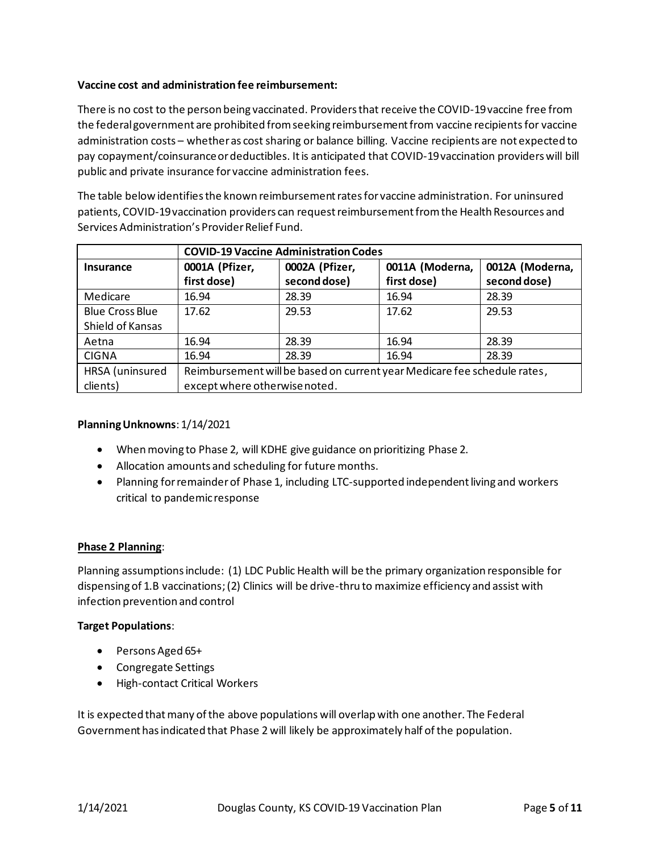# **Vaccine cost and administration fee reimbursement:**

There is no cost to the person being vaccinated. Providers that receive the COVID-19 vaccine free from the federal government are prohibited from seeking reimbursement from vaccine recipients for vaccine administration costs – whether as cost sharing or balance billing. Vaccine recipients are not expected to pay copayment/coinsurance or deductibles. It is anticipated that COVID-19 vaccination providers will bill public and private insurance for vaccine administration fees.

The table below identifies the known reimbursement rates for vaccine administration. For uninsured patients, COVID-19 vaccination providers can request reimbursement from the Health Resources and Services Administration's Provider Relief Fund.

|                        | <b>COVID-19 Vaccine Administration Codes</b>                             |                |                 |                 |
|------------------------|--------------------------------------------------------------------------|----------------|-----------------|-----------------|
| <b>Insurance</b>       | 0001A (Pfizer,                                                           | 0002A (Pfizer, | 0011A (Moderna, | 0012A (Moderna, |
|                        | first dose)                                                              | second dose)   | first dose)     | second dose)    |
| Medicare               | 16.94                                                                    | 28.39          | 16.94           | 28.39           |
| <b>Blue Cross Blue</b> | 17.62                                                                    | 29.53          | 17.62           | 29.53           |
| Shield of Kansas       |                                                                          |                |                 |                 |
| Aetna                  | 16.94                                                                    | 28.39          | 16.94           | 28.39           |
| <b>CIGNA</b>           | 16.94                                                                    | 28.39          | 16.94           | 28.39           |
| HRSA (uninsured        | Reimbursement will be based on current year Medicare fee schedule rates, |                |                 |                 |
| clients)               | except where otherwise noted.                                            |                |                 |                 |

# **Planning Unknowns**: 1/14/2021

- When moving to Phase 2, will KDHE give guidance on prioritizing Phase 2.
- Allocation amounts and scheduling for future months.
- Planning for remainder of Phase 1, including LTC-supported independent living and workers critical to pandemic response

#### **Phase 2 Planning**:

Planning assumptions include: (1) LDC Public Health will be the primary organization responsible for dispensing of 1.B vaccinations; (2) Clinics will be drive-thru to maximize efficiency and assist with infection prevention and control

#### **Target Populations**:

- Persons Aged 65+
- Congregate Settings
- High-contact Critical Workers

It is expected that many of the above populations will overlap with one another. The Federal Government has indicated that Phase 2 will likely be approximately half of the population.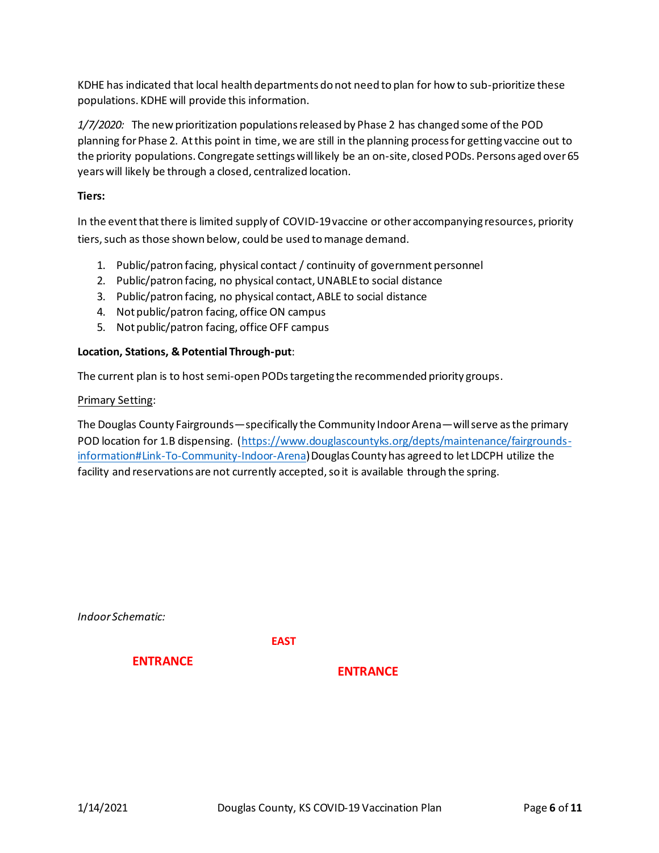KDHE has indicated that local health departments do not need to plan for how to sub-prioritize these populations. KDHE will provide this information.

*1/7/2020:* The new prioritization populations released by Phase 2 has changed some of the POD planning for Phase 2. At this point in time, we are still in the planning process for getting vaccine out to the priority populations. Congregate settings will likely be an on-site, closed PODs. Persons aged over 65 years will likely be through a closed, centralized location.

# **Tiers:**

In the event that there is limited supply of COVID-19 vaccine or other accompanying resources, priority tiers, such as those shown below, could be used to manage demand.

- 1. Public/patron facing, physical contact / continuity of government personnel
- 2. Public/patron facing, no physical contact, UNABLE to social distance
- 3. Public/patron facing, no physical contact, ABLE to social distance
- 4. Not public/patron facing, office ON campus
- 5. Not public/patron facing, office OFF campus

# **Location, Stations, & Potential Through-put**:

The current plan is to host semi-open PODstargeting the recommended priority groups.

#### Primary Setting:

The Douglas County Fairgrounds—specifically the Community Indoor Arena—will serve as the primary POD location for 1.B dispensing. (https://www.douglascountyks.org/depts/maintenance/fairgroundsinformation#Link-To-Community-Indoor-Arena) Douglas County has agreed to let LDCPH utilize the facility and reservations are not currently accepted, so it is available through the spring.

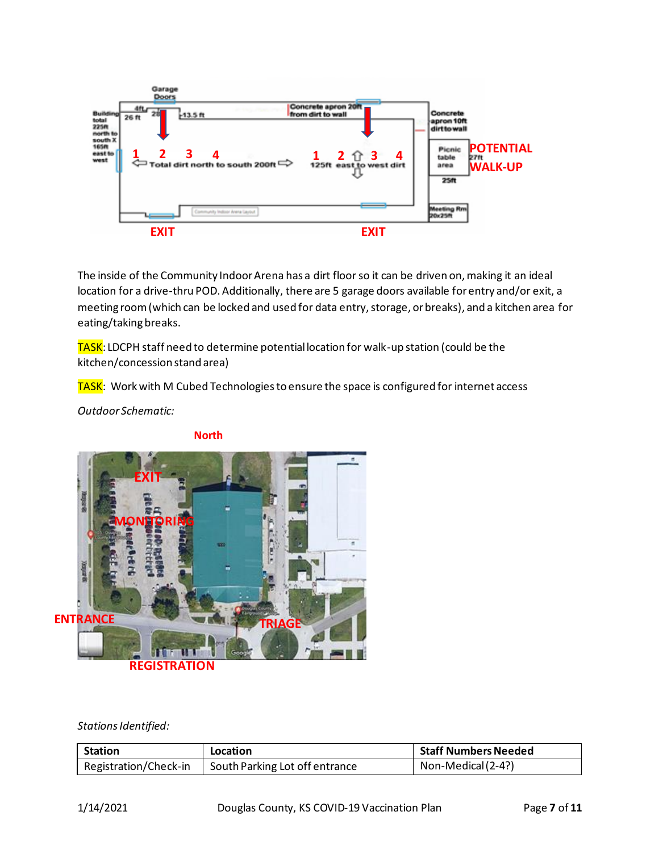

The inside of the Community Indoor Arena has a dirt floor so it can be driven on, making it an ideal location for a drive-thru POD. Additionally, there are 5 garage doors available for entry and/or exit, a meeting room (which can be locked and used for data entry, storage, or breaks), and a kitchen area for eating/taking breaks.

TASK: LDCPH staff need to determine potential location for walk-up station (could be the kitchen/concession stand area)

TASK: Work with M Cubed Technologies to ensure the space is configured for internet access

*Outdoor Schematic:*



**North**

Stations Identified:

| <b>Station</b>        | Location                       | <b>Staff Numbers Needed</b> |
|-----------------------|--------------------------------|-----------------------------|
| Registration/Check-in | South Parking Lot off entrance | Non-Medical (2-4?)          |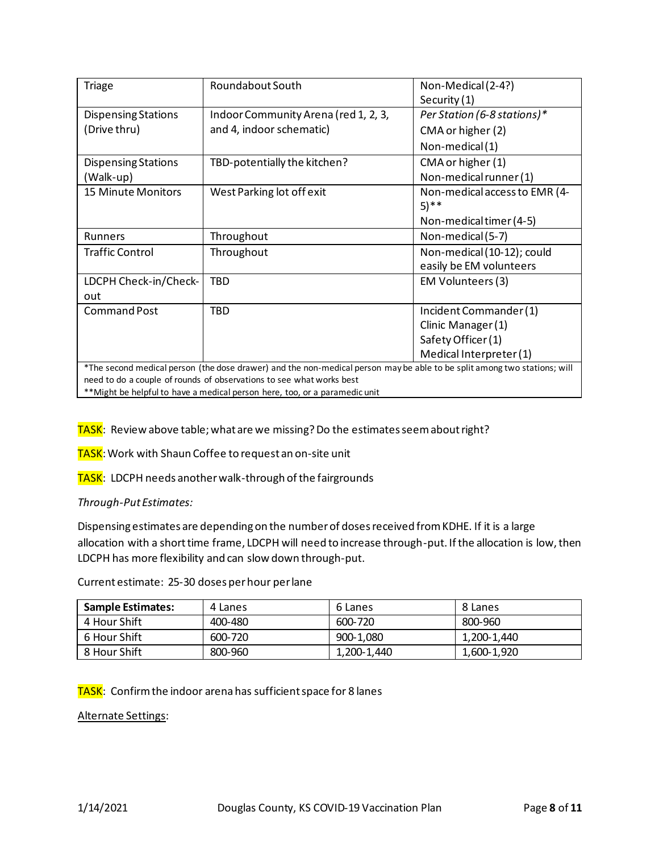| <b>Triage</b>              | Roundabout South                                                                                                         | Non-Medical (2-4?)<br>Security (1)                    |
|----------------------------|--------------------------------------------------------------------------------------------------------------------------|-------------------------------------------------------|
| <b>Dispensing Stations</b> | Indoor Community Arena (red 1, 2, 3,                                                                                     | Per Station (6-8 stations)*                           |
| (Drive thru)               | and 4, indoor schematic)                                                                                                 | CMA or higher (2)                                     |
|                            |                                                                                                                          | Non-medical(1)                                        |
| <b>Dispensing Stations</b> | TBD-potentially the kitchen?                                                                                             | CMA or higher (1)                                     |
| (Walk-up)                  |                                                                                                                          | Non-medical runner (1)                                |
| 15 Minute Monitors         | West Parking lot off exit                                                                                                | Non-medical access to EMR (4-<br>$(5)$ **             |
|                            |                                                                                                                          | Non-medical timer (4-5)                               |
| Runners                    | Throughout                                                                                                               | Non-medical (5-7)                                     |
| <b>Traffic Control</b>     | Throughout                                                                                                               | Non-medical (10-12); could<br>easily be EM volunteers |
| LDCPH Check-in/Check-      | TBD                                                                                                                      | EM Volunteers (3)                                     |
| out                        |                                                                                                                          |                                                       |
| <b>Command Post</b>        | <b>TBD</b>                                                                                                               | Incident Commander (1)                                |
|                            |                                                                                                                          | Clinic Manager (1)                                    |
|                            |                                                                                                                          | Safety Officer (1)                                    |
|                            |                                                                                                                          | Medical Interpreter (1)                               |
|                            | *The second medical person (the dose drawer) and the non-medical person may be able to be split among two stations; will |                                                       |
|                            | need to do a couple of rounds of observations to see what works best                                                     |                                                       |

\*\*Might be helpful to have a medical person here, too, or a paramedic unit

TASK: Review above table; what are we missing? Do the estimates seem about right?

TASK: Work with Shaun Coffee to request an on-site unit

TASK: LDCPH needs another walk-through of the fairgrounds

*Through-Put Estimates:*

Dispensing estimates are depending on the number of doses received from KDHE. If it is a large allocation with a short time frame, LDCPH will need to increase through-put. If the allocation is low, then LDCPH has more flexibility and can slow down through-put.

Current estimate: 25-30 doses per hour per lane

| <b>Sample Estimates:</b> | 4 Lanes | 6 Lanes     | 8 Lanes     |
|--------------------------|---------|-------------|-------------|
| 4 Hour Shift             | 400-480 | 600-720     | 800-960     |
| 6 Hour Shift             | 600-720 | 900-1,080   | 1,200-1,440 |
| 8 Hour Shift             | 800-960 | 1,200-1,440 | 1,600-1,920 |

TASK: Confirm the indoor arena has sufficient space for 8 lanes

Alternate Settings: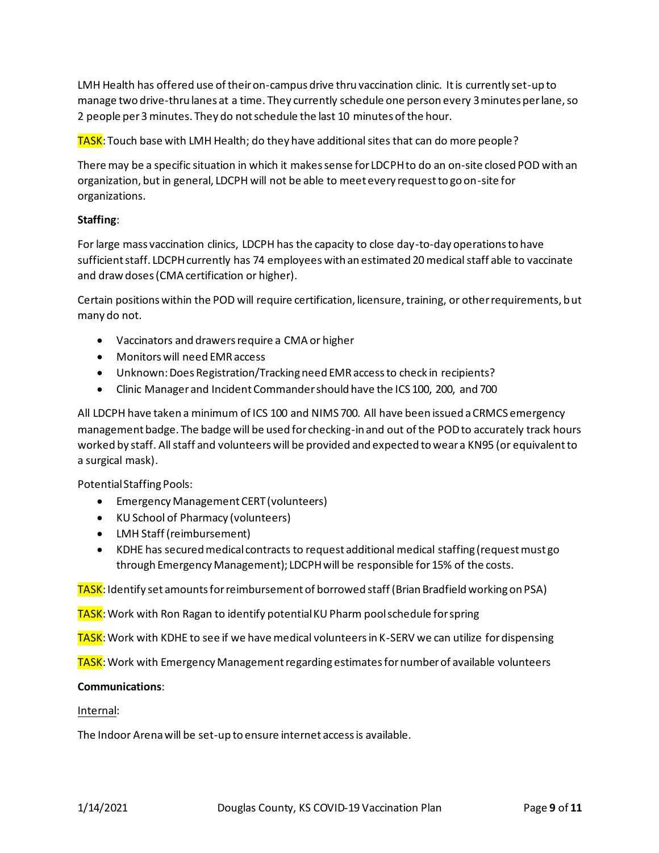LMH Health has offered use of their on-campus drive thru vaccination clinic. It is currently set-up to manage two drive-thru lanes at a time. They currently schedule one person every 3 minutes per lane, so 2 people per 3 minutes. They do not schedule the last 10 minutes of the hour.

TASK: Touch base with LMH Health; do they have additional sites that can do more people?

There may be a specific situation in which it makes sense for LDCPH to do an on-site closed POD with an organization, but in general, LDCPH will not be able to meet every request to go on-site for organizations.

# **Staffing**:

For large mass vaccination clinics, LDCPH has the capacity to close day-to-day operations to have sufficient staff. LDCPH currently has 74 employees with an estimated 20 medical staff able to vaccinate and draw doses (CMA certification or higher).

Certain positions within the POD will require certification, licensure, training, or other requirements, but many do not.

- Vaccinators and drawers require a CMA or higher
- Monitors will need EMR access
- Unknown: Does Registration/Tracking need EMR access to check in recipients?
- Clinic Manager and Incident Commander should have the ICS 100, 200, and 700

All LDCPH have taken a minimum of ICS 100 and NIMS 700. All have been issued a CRMCS emergency management badge. The badge will be used for checking-in and out of the POD to accurately track hours worked by staff. All staff and volunteers will be provided and expected to wear a KN95 (or equivalent to a surgical mask).

Potential Staffing Pools:

- Emergency Management CERT (volunteers)
- KU School of Pharmacy (volunteers)
- LMH Staff (reimbursement)
- KDHE has secured medical contracts to request additional medical staffing (request must go through Emergency Management); LDCPH will be responsible for 15% of the costs.

TASK: Identify set amounts for reimbursement of borrowed staff (Brian Bradfield working on PSA)

TASK: Work with Ron Ragan to identify potential KU Pharm pool schedule for spring

TASK: Work with KDHE to see if we have medical volunteers in K-SERV we can utilize for dispensing

TASK: Work with Emergency Management regarding estimates for number of available volunteers

#### **Communications**:

#### Internal:

The Indoor Arena will be set-up to ensure internet access is available.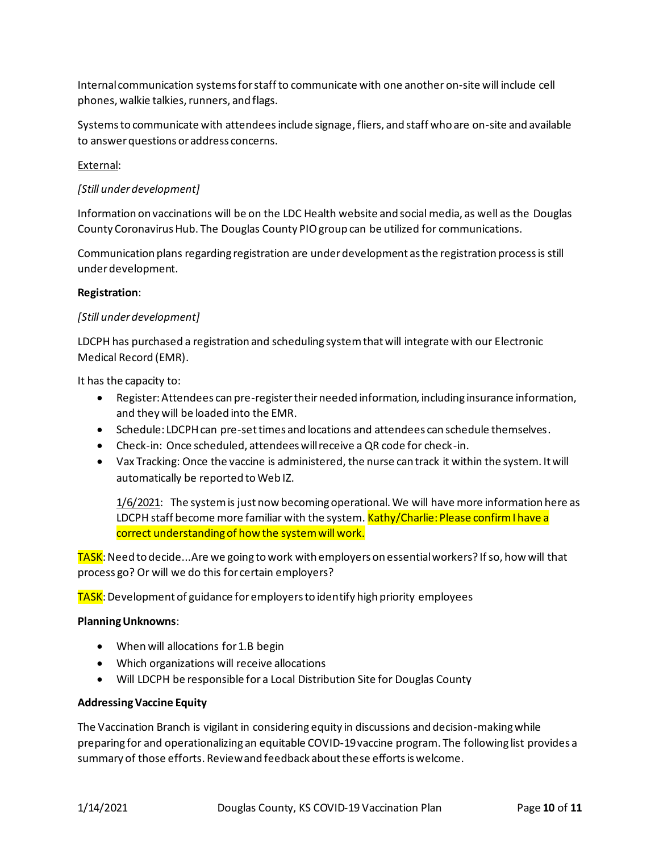Internal communication systems for staff to communicate with one another on-site will include cell phones, walkie talkies, runners, and flags.

Systems to communicate with attendees include signage, fliers, and staff who are on-site and available to answer questions or address concerns.

# External:

# *[Still under development]*

Information on vaccinations will be on the LDC Health website and social media, as well as the Douglas County Coronavirus Hub. The Douglas County PIO group can be utilized for communications.

Communication plans regarding registration are under development as the registration process is still underdevelopment.

#### **Registration**:

# *[Still under development]*

LDCPH has purchased a registration and scheduling system that will integrate with our Electronic Medical Record (EMR).

It has the capacity to:

- Register: Attendees can pre-register their needed information, including insurance information, and they will be loaded into the EMR.
- Schedule: LDCPH can pre-set times and locations and attendees can schedule themselves.
- Check-in: Once scheduled, attendees will receive a QR code for check-in.
- Vax Tracking: Once the vaccine is administered, the nurse can track it within the system. It will automatically be reported to Web IZ.

1/6/2021: The system is just now becoming operational. We will have more information here as LDCPH staff become more familiar with the system. Kathy/Charlie: Please confirm I have a correct understanding of how the system will work.

TASK: Need to decide...Are we going to work with employers on essential workers? If so, how will that process go? Or will we do this for certain employers?

TASK: Development of guidance for employers to identify high priority employees

#### **Planning Unknowns**:

- When will allocations for 1.B begin
- Which organizations will receive allocations
- Will LDCPH be responsible for a Local Distribution Site for Douglas County

#### **Addressing Vaccine Equity**

The Vaccination Branch is vigilant in considering equity in discussions and decision-making while preparing for and operationalizing an equitable COVID-19 vaccine program. The following list provides a summary of those efforts. Review and feedback about these efforts is welcome.